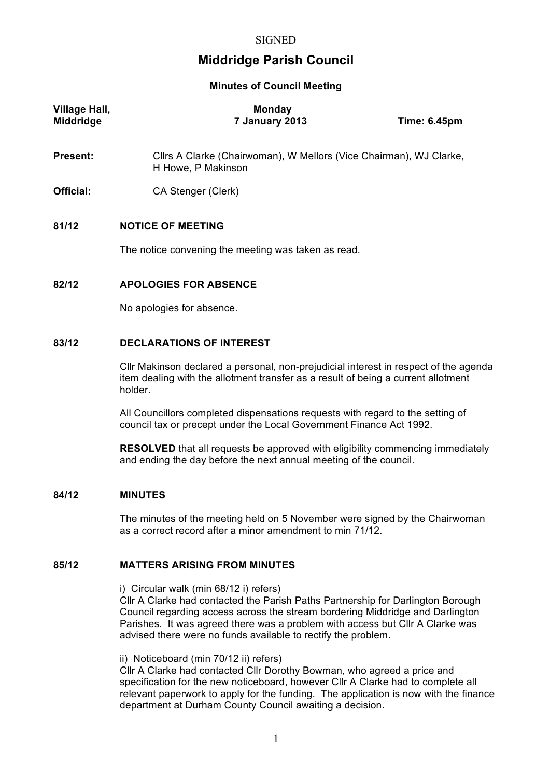# **Middridge Parish Council**

**Minutes of Council Meeting**

| Village Hall,<br><b>Middridge</b> | <b>Monday</b><br>7 January 2013                                                          | <b>Time: 6.45pm</b> |
|-----------------------------------|------------------------------------------------------------------------------------------|---------------------|
| <b>Present:</b>                   | Cllrs A Clarke (Chairwoman), W Mellors (Vice Chairman), WJ Clarke,<br>H Howe, P Makinson |                     |
| Official:                         | CA Stenger (Clerk)                                                                       |                     |
| 81/12                             | <b>NOTICE OF MEETING</b><br>The notice convening the meeting was taken as read.          |                     |
| 82/12                             | <b>APOLOGIES FOR ABSENCE</b><br>No apologies for absence.                                |                     |
| 83/12                             | <b>DECLARATIONS OF INTEREST</b>                                                          |                     |

# Cllr Makinson declared a personal, non-prejudicial interest in respect of the agenda

item dealing with the allotment transfer as a result of being a current allotment holder.

All Councillors completed dispensations requests with regard to the setting of council tax or precept under the Local Government Finance Act 1992.

**RESOLVED** that all requests be approved with eligibility commencing immediately and ending the day before the next annual meeting of the council.

# **84/12 MINUTES**

The minutes of the meeting held on 5 November were signed by the Chairwoman as a correct record after a minor amendment to min 71/12.

# **85/12 MATTERS ARISING FROM MINUTES**

i) Circular walk (min 68/12 i) refers)

Cllr A Clarke had contacted the Parish Paths Partnership for Darlington Borough Council regarding access across the stream bordering Middridge and Darlington Parishes. It was agreed there was a problem with access but Cllr A Clarke was advised there were no funds available to rectify the problem.

ii) Noticeboard (min 70/12 ii) refers)

Cllr A Clarke had contacted Cllr Dorothy Bowman, who agreed a price and specification for the new noticeboard, however Cllr A Clarke had to complete all relevant paperwork to apply for the funding. The application is now with the finance department at Durham County Council awaiting a decision.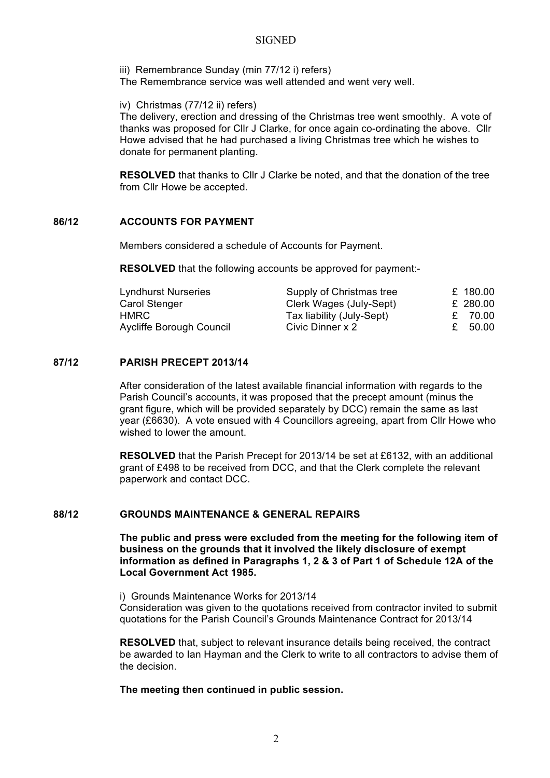#### **SIGNED**

iii) Remembrance Sunday (min 77/12 i) refers) The Remembrance service was well attended and went very well.

iv) Christmas (77/12 ii) refers)

The delivery, erection and dressing of the Christmas tree went smoothly. A vote of thanks was proposed for Cllr J Clarke, for once again co-ordinating the above. Cllr Howe advised that he had purchased a living Christmas tree which he wishes to donate for permanent planting.

**RESOLVED** that thanks to Cllr J Clarke be noted, and that the donation of the tree from Cllr Howe be accepted.

# **86/12 ACCOUNTS FOR PAYMENT**

Members considered a schedule of Accounts for Payment.

**RESOLVED** that the following accounts be approved for payment:-

| £ 180.00 |
|----------|
| £ 280.00 |
| £ 70.00  |
| £ 50.00  |
|          |

# **87/12 PARISH PRECEPT 2013/14**

After consideration of the latest available financial information with regards to the Parish Council's accounts, it was proposed that the precept amount (minus the grant figure, which will be provided separately by DCC) remain the same as last year (£6630). A vote ensued with 4 Councillors agreeing, apart from Cllr Howe who wished to lower the amount.

**RESOLVED** that the Parish Precept for 2013/14 be set at £6132, with an additional grant of £498 to be received from DCC, and that the Clerk complete the relevant paperwork and contact DCC.

# **88/12 GROUNDS MAINTENANCE & GENERAL REPAIRS**

**The public and press were excluded from the meeting for the following item of business on the grounds that it involved the likely disclosure of exempt information as defined in Paragraphs 1, 2 & 3 of Part 1 of Schedule 12A of the Local Government Act 1985.**

i) Grounds Maintenance Works for 2013/14 Consideration was given to the quotations received from contractor invited to submit quotations for the Parish Council's Grounds Maintenance Contract for 2013/14

**RESOLVED** that, subject to relevant insurance details being received, the contract be awarded to Ian Hayman and the Clerk to write to all contractors to advise them of the decision.

**The meeting then continued in public session.**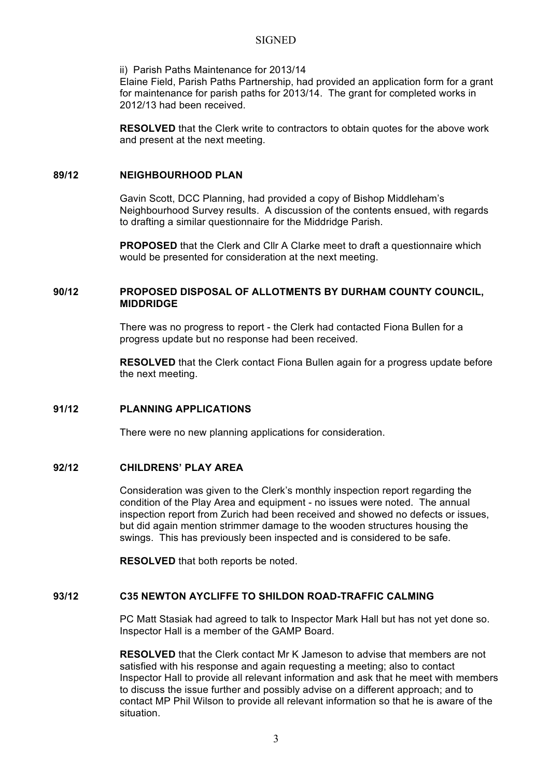#### **SIGNED**

#### ii) Parish Paths Maintenance for 2013/14

Elaine Field, Parish Paths Partnership, had provided an application form for a grant for maintenance for parish paths for 2013/14. The grant for completed works in 2012/13 had been received.

**RESOLVED** that the Clerk write to contractors to obtain quotes for the above work and present at the next meeting.

#### **89/12 NEIGHBOURHOOD PLAN**

Gavin Scott, DCC Planning, had provided a copy of Bishop Middleham's Neighbourhood Survey results. A discussion of the contents ensued, with regards to drafting a similar questionnaire for the Middridge Parish.

**PROPOSED** that the Clerk and Cllr A Clarke meet to draft a questionnaire which would be presented for consideration at the next meeting.

# **90/12 PROPOSED DISPOSAL OF ALLOTMENTS BY DURHAM COUNTY COUNCIL, MIDDRIDGE**

There was no progress to report - the Clerk had contacted Fiona Bullen for a progress update but no response had been received.

**RESOLVED** that the Clerk contact Fiona Bullen again for a progress update before the next meeting.

#### **91/12 PLANNING APPLICATIONS**

There were no new planning applications for consideration.

#### **92/12 CHILDRENS' PLAY AREA**

Consideration was given to the Clerk's monthly inspection report regarding the condition of the Play Area and equipment - no issues were noted. The annual inspection report from Zurich had been received and showed no defects or issues, but did again mention strimmer damage to the wooden structures housing the swings. This has previously been inspected and is considered to be safe.

**RESOLVED** that both reports be noted.

# **93/12 C35 NEWTON AYCLIFFE TO SHILDON ROAD-TRAFFIC CALMING**

PC Matt Stasiak had agreed to talk to Inspector Mark Hall but has not yet done so. Inspector Hall is a member of the GAMP Board.

**RESOLVED** that the Clerk contact Mr K Jameson to advise that members are not satisfied with his response and again requesting a meeting; also to contact Inspector Hall to provide all relevant information and ask that he meet with members to discuss the issue further and possibly advise on a different approach; and to contact MP Phil Wilson to provide all relevant information so that he is aware of the situation.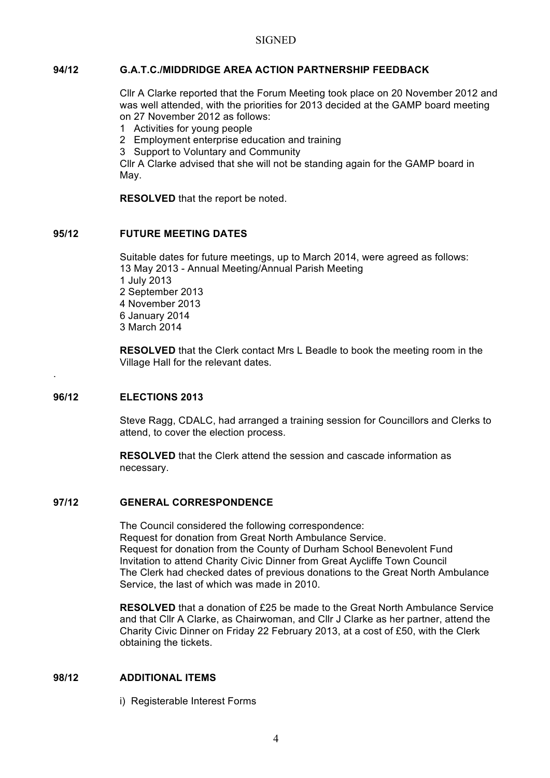# **94/12 G.A.T.C./MIDDRIDGE AREA ACTION PARTNERSHIP FEEDBACK**

Cllr A Clarke reported that the Forum Meeting took place on 20 November 2012 and was well attended, with the priorities for 2013 decided at the GAMP board meeting on 27 November 2012 as follows:

- 1 Activities for young people
- 2 Employment enterprise education and training
- 3 Support to Voluntary and Community

Cllr A Clarke advised that she will not be standing again for the GAMP board in May.

**RESOLVED** that the report be noted.

# **95/12 FUTURE MEETING DATES**

Suitable dates for future meetings, up to March 2014, were agreed as follows: 13 May 2013 - Annual Meeting/Annual Parish Meeting 1 July 2013 2 September 2013 4 November 2013 6 January 2014 3 March 2014

**RESOLVED** that the Clerk contact Mrs L Beadle to book the meeting room in the Village Hall for the relevant dates.

#### **96/12 ELECTIONS 2013**

.

Steve Ragg, CDALC, had arranged a training session for Councillors and Clerks to attend, to cover the election process.

**RESOLVED** that the Clerk attend the session and cascade information as necessary.

# **97/12 GENERAL CORRESPONDENCE**

The Council considered the following correspondence: Request for donation from Great North Ambulance Service. Request for donation from the County of Durham School Benevolent Fund Invitation to attend Charity Civic Dinner from Great Aycliffe Town Council The Clerk had checked dates of previous donations to the Great North Ambulance Service, the last of which was made in 2010.

**RESOLVED** that a donation of £25 be made to the Great North Ambulance Service and that Cllr A Clarke, as Chairwoman, and Cllr J Clarke as her partner, attend the Charity Civic Dinner on Friday 22 February 2013, at a cost of £50, with the Clerk obtaining the tickets.

#### **98/12 ADDITIONAL ITEMS**

i) Registerable Interest Forms